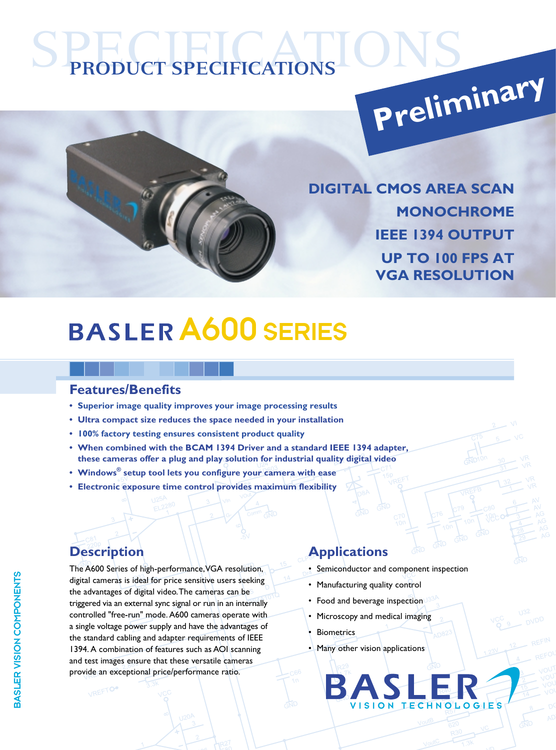# **PRODUCT SPECIFICATIONS Preliminary**



**DIGITAL CMOS AREA SCAN MONOCHROME IEEE 1394 OUTPUT UP TO 100 FPS AT VGA RESOLUTION**

## A600 SERIES

#### **Features/Benefits**

- **• Superior image quality improves your image processing results**
- **Ultra compact size reduces the space needed in your installation**
- **• 100% factory testing ensures consistent product quality**
- **When combined with the BCAM 1394 Driver and a standard IEEE 1394 adapter, these cameras offer a plug and play solution for industrial quality digital video**
- **Windows® setup tool lets you configure your camera with ease**
- **Electronic exposure time control provides maximum flexibility**

VREFTO.

The A600 Series of high-performance, VGA resolution, digital cameras is ideal for price sensitive users seeking the advantages of digital video. The cameras can be triggered via an external sync signal or run in an internally controlled "free-run" mode. A600 cameras operate with a single voltage power supply and have the advantages of the standard cabling and adapter requirements of IEEE 1394. A combination of features such as AOI scanning and test images ensure that these versatile cameras provide an exceptional price/performance ratio.

### **Description Applications**

- Semiconductor and component inspection
- Manufacturing quality control
- Food and beverage inspection
- Microscopy and medical imaging
- **Biometrics**
- Many other vision applications